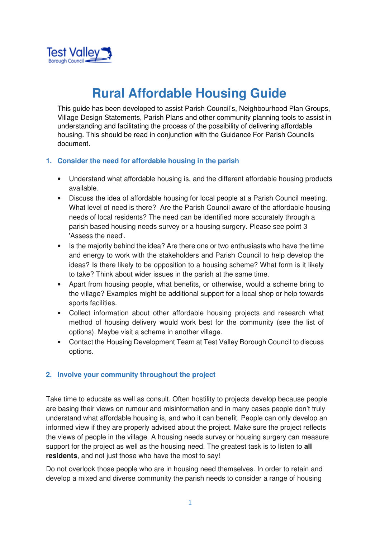

# **Rural Affordable Housing Guide**

This guide has been developed to assist Parish Council's, Neighbourhood Plan Groups, Village Design Statements, Parish Plans and other community planning tools to assist in understanding and facilitating the process of the possibility of delivering affordable housing. This should be read in conjunction with the Guidance For Parish Councils document.

## **1. Consider the need for affordable housing in the parish**

- Understand what affordable housing is, and the different affordable housing products available.
- Discuss the idea of affordable housing for local people at a Parish Council meeting. What level of need is there? Are the Parish Council aware of the affordable housing needs of local residents? The need can be identified more accurately through a parish based housing needs survey or a housing surgery. Please see point 3 'Assess the need'.
- Is the majority behind the idea? Are there one or two enthusiasts who have the time and energy to work with the stakeholders and Parish Council to help develop the ideas? Is there likely to be opposition to a housing scheme? What form is it likely to take? Think about wider issues in the parish at the same time.
- Apart from housing people, what benefits, or otherwise, would a scheme bring to the village? Examples might be additional support for a local shop or help towards sports facilities.
- Collect information about other affordable housing projects and research what method of housing delivery would work best for the community (see the list of options). Maybe visit a scheme in another village.
- Contact the Housing Development Team at Test Valley Borough Council to discuss options.

# **2. Involve your community throughout the project**

Take time to educate as well as consult. Often hostility to projects develop because people are basing their views on rumour and misinformation and in many cases people don't truly understand what affordable housing is, and who it can benefit. People can only develop an informed view if they are properly advised about the project. Make sure the project reflects the views of people in the village. A housing needs survey or housing surgery can measure support for the project as well as the housing need. The greatest task is to listen to **all residents**, and not just those who have the most to say!

Do not overlook those people who are in housing need themselves. In order to retain and develop a mixed and diverse community the parish needs to consider a range of housing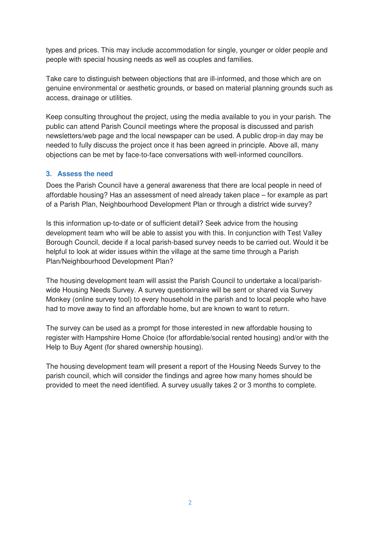types and prices. This may include accommodation for single, younger or older people and people with special housing needs as well as couples and families.

Take care to distinguish between objections that are ill-informed, and those which are on genuine environmental or aesthetic grounds, or based on material planning grounds such as access, drainage or utilities.

Keep consulting throughout the project, using the media available to you in your parish. The public can attend Parish Council meetings where the proposal is discussed and parish newsletters/web page and the local newspaper can be used. A public drop-in day may be needed to fully discuss the project once it has been agreed in principle. Above all, many objections can be met by face-to-face conversations with well-informed councillors.

# **3. Assess the need**

Does the Parish Council have a general awareness that there are local people in need of affordable housing? Has an assessment of need already taken place – for example as part of a Parish Plan, Neighbourhood Development Plan or through a district wide survey?

Is this information up-to-date or of sufficient detail? Seek advice from the housing development team who will be able to assist you with this. In conjunction with Test Valley Borough Council, decide if a local parish-based survey needs to be carried out. Would it be helpful to look at wider issues within the village at the same time through a Parish Plan/Neighbourhood Development Plan?

The housing development team will assist the Parish Council to undertake a local/parishwide Housing Needs Survey. A survey questionnaire will be sent or shared via Survey Monkey (online survey tool) to every household in the parish and to local people who have had to move away to find an affordable home, but are known to want to return.

The survey can be used as a prompt for those interested in new affordable housing to register with Hampshire Home Choice (for affordable/social rented housing) and/or with the Help to Buy Agent (for shared ownership housing).

The housing development team will present a report of the Housing Needs Survey to the parish council, which will consider the findings and agree how many homes should be provided to meet the need identified. A survey usually takes 2 or 3 months to complete.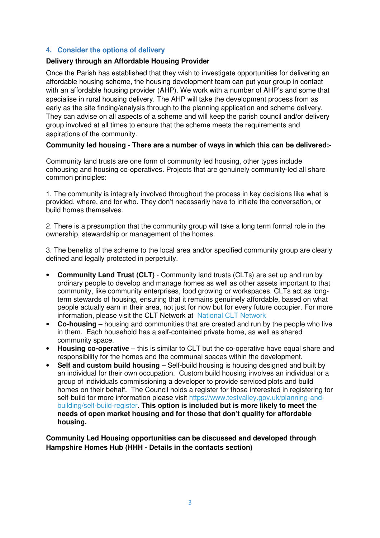## **4. Consider the options of delivery**

#### **Delivery through an Affordable Housing Provider**

Once the Parish has established that they wish to investigate opportunities for delivering an affordable housing scheme, the housing development team can put your group in contact with an affordable housing provider (AHP). We work with a number of AHP's and some that specialise in rural housing delivery. The AHP will take the development process from as early as the site finding/analysis through to the planning application and scheme delivery. They can advise on all aspects of a scheme and will keep the parish council and/or delivery group involved at all times to ensure that the scheme meets the requirements and aspirations of the community.

#### **Community led housing - There are a number of ways in which this can be delivered:-**

Community land trusts are one form of community led housing, other types include cohousing and housing co-operatives. Projects that are genuinely community-led all share common principles:

1. The community is integrally involved throughout the process in key decisions like what is provided, where, and for who. They don't necessarily have to initiate the conversation, or build homes themselves.

2. There is a presumption that the community group will take a long term formal role in the ownership, stewardship or management of the homes.

3. The benefits of the scheme to the local area and/or specified community group are clearly defined and legally protected in perpetuity.

- **Community Land Trust (CLT)** Community land trusts (CLTs) are set up and run by ordinary people to develop and manage homes as well as other assets important to that community, like community enterprises, food growing or workspaces. CLTs act as longterm stewards of housing, ensuring that it remains genuinely affordable, based on what people actually earn in their area, not just for now but for every future occupier. For more information, please visit the CLT Network at National CLT Network
- **Co-housing** housing and communities that are created and run by the people who live in them. Each household has a self-contained private home, as well as shared community space.
- **Housing co-operative** this is similar to CLT but the co-operative have equal share and responsibility for the homes and the communal spaces within the development.
- **Self and custom build housing**  Self-build housing is housing designed and built by an individual for their own occupation. Custom build housing involves an individual or a group of individuals commissioning a developer to provide serviced plots and build homes on their behalf. The Council holds a register for those interested in registering for self-build for more information please visit https://www.testvalley.gov.uk/planning-andbuilding/self-build-register. **This option is included but is more likely to meet the needs of open market housing and for those that don't qualify for affordable housing.**

**Community Led Housing opportunities can be discussed and developed through Hampshire Homes Hub (HHH - Details in the contacts section)**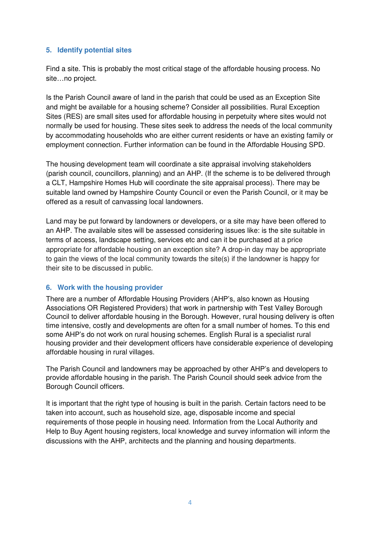## **5. Identify potential sites**

Find a site. This is probably the most critical stage of the affordable housing process. No site…no project.

Is the Parish Council aware of land in the parish that could be used as an Exception Site and might be available for a housing scheme? Consider all possibilities. Rural Exception Sites (RES) are small sites used for affordable housing in perpetuity where sites would not normally be used for housing. These sites seek to address the needs of the local community by accommodating households who are either current residents or have an existing family or employment connection. Further information can be found in the Affordable Housing SPD.

The housing development team will coordinate a site appraisal involving stakeholders (parish council, councillors, planning) and an AHP. (If the scheme is to be delivered through a CLT, Hampshire Homes Hub will coordinate the site appraisal process). There may be suitable land owned by Hampshire County Council or even the Parish Council, or it may be offered as a result of canvassing local landowners.

Land may be put forward by landowners or developers, or a site may have been offered to an AHP. The available sites will be assessed considering issues like: is the site suitable in terms of access, landscape setting, services etc and can it be purchased at a price appropriate for affordable housing on an exception site? A drop-in day may be appropriate to gain the views of the local community towards the site(s) if the landowner is happy for their site to be discussed in public.

#### **6. Work with the housing provider**

There are a number of Affordable Housing Providers (AHP's, also known as Housing Associations OR Registered Providers) that work in partnership with Test Valley Borough Council to deliver affordable housing in the Borough. However, rural housing delivery is often time intensive, costly and developments are often for a small number of homes. To this end some AHP's do not work on rural housing schemes. English Rural is a specialist rural housing provider and their development officers have considerable experience of developing affordable housing in rural villages.

The Parish Council and landowners may be approached by other AHP's and developers to provide affordable housing in the parish. The Parish Council should seek advice from the Borough Council officers.

It is important that the right type of housing is built in the parish. Certain factors need to be taken into account, such as household size, age, disposable income and special requirements of those people in housing need. Information from the Local Authority and Help to Buy Agent housing registers, local knowledge and survey information will inform the discussions with the AHP, architects and the planning and housing departments.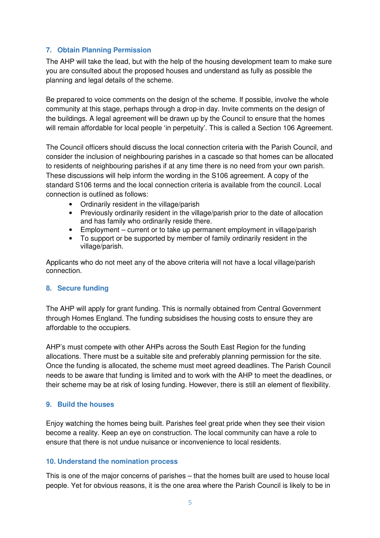# **7. Obtain Planning Permission**

The AHP will take the lead, but with the help of the housing development team to make sure you are consulted about the proposed houses and understand as fully as possible the planning and legal details of the scheme.

Be prepared to voice comments on the design of the scheme. If possible, involve the whole community at this stage, perhaps through a drop-in day. Invite comments on the design of the buildings. A legal agreement will be drawn up by the Council to ensure that the homes will remain affordable for local people 'in perpetuity'. This is called a Section 106 Agreement.

The Council officers should discuss the local connection criteria with the Parish Council, and consider the inclusion of neighbouring parishes in a cascade so that homes can be allocated to residents of neighbouring parishes if at any time there is no need from your own parish. These discussions will help inform the wording in the S106 agreement. A copy of the standard S106 terms and the local connection criteria is available from the council. Local connection is outlined as follows:

- Ordinarily resident in the village/parish
- Previously ordinarily resident in the village/parish prior to the date of allocation and has family who ordinarily reside there.
- Employment current or to take up permanent employment in village/parish
- To support or be supported by member of family ordinarily resident in the village/parish.

Applicants who do not meet any of the above criteria will not have a local village/parish connection.

# **8. Secure funding**

The AHP will apply for grant funding. This is normally obtained from Central Government through Homes England. The funding subsidises the housing costs to ensure they are affordable to the occupiers.

AHP's must compete with other AHPs across the South East Region for the funding allocations. There must be a suitable site and preferably planning permission for the site. Once the funding is allocated, the scheme must meet agreed deadlines. The Parish Council needs to be aware that funding is limited and to work with the AHP to meet the deadlines, or their scheme may be at risk of losing funding. However, there is still an element of flexibility.

# **9. Build the houses**

Enjoy watching the homes being built. Parishes feel great pride when they see their vision become a reality. Keep an eye on construction. The local community can have a role to ensure that there is not undue nuisance or inconvenience to local residents.

#### **10. Understand the nomination process**

This is one of the major concerns of parishes – that the homes built are used to house local people. Yet for obvious reasons, it is the one area where the Parish Council is likely to be in